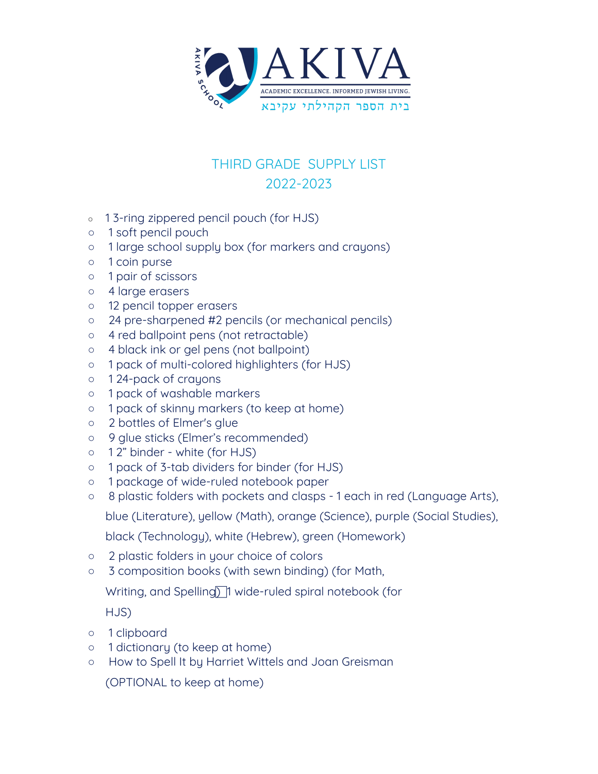

## THIRD GRADE SUPPLY LIST 2022-2023

- o 13-ring zippered pencil pouch (for HJS)
- 1 soft pencil pouch
- 1 large school supply box (for markers and crayons)
- 1 coin purse
- 1 pair of scissors
- 4 large erasers
- 12 pencil topper erasers
- 24 pre-sharpened #2 pencils (or mechanical pencils)
- 4 red ballpoint pens (not retractable)
- 4 black ink or gel pens (not ballpoint)
- 1 pack of multi-colored highlighters (for HJS)
- 1 24-pack of crayons
- 1 pack of washable markers
- 1 pack of skinny markers (to keep at home)
- 2 bottles of Elmer's glue
- 9 glue sticks (Elmer's recommended)
- 1 2" binder white (for HJS)
- 1 pack of 3-tab dividers for binder (for HJS)
- 1 package of wide-ruled notebook paper
- 8 plastic folders with pockets and clasps 1 each in red (Language Arts),

blue (Literature), yellow (Math), orange (Science), purple (Social Studies),

black (Technology), white (Hebrew), green (Homework)

- 2 plastic folders in your choice of colors
- 3 composition books (with sewn binding) (for Math,

Writing, and Spelling) 1 wide-ruled spiral notebook (for

HJS)

- 1 clipboard
- 1 dictionary (to keep at home)
- How to Spell It by Harriet Wittels and Joan Greisman

(OPTIONAL to keep at home)